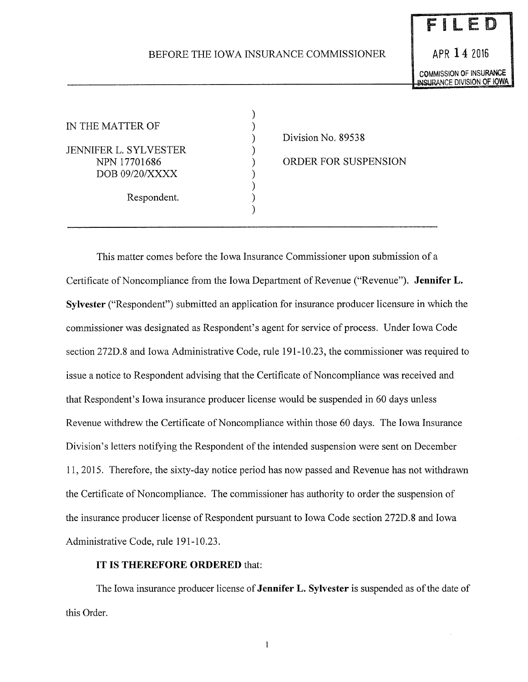## BEFORE THE IOWA INSURANCE COMMISSIONER

) ) ) ) ) ) ) ) )

APR **14** <sup>2016</sup> **COMMISSION OF INSURANCE**<br>INSURANCE DIVISION OF IOWA

FILED

IN THE MATTER OF JENNIFER L. SYLVESTER NPN 17701686 DOB 09/20/XXXX Respondent.

Division No. 89538

ORDER FOR SUSPENSION

This matter comes before the Iowa Insurance Commissioner upon submission of a Certificate of Noncompliance from the Iowa Department of Revenue ("Revenue"). **Jennifer L. Sylvester** ("Respondent") submitted an application for insurance producer licensure in which the commissioner was designated as Respondent's agent for service of process. Under Iowa Code section 272D.8 and Iowa Administrative Code, rule 191-10.23, the commissioner was required to issue a notice to Respondent advising that the Certificate of Noncompliance was received and that Respondent's Iowa insurance producer license would be suspended in 60 days unless Revenue withdrew the Certificate of Noncompliance within those 60 days. The Iowa Insurance Division's letters notifying the Respondent of the intended suspension were sent on December 11, 2015. Therefore, the sixty-day notice period has now passed and Revenue has not withdrawn the Certificate of Noncompliance. The commissioner has authority to order the suspension of the insurance producer license of Respondent pursuant to Iowa Code section 272D.8 and Iowa Administrative Code, rule 191-10.23.

## **IT IS THEREFORE ORDERED** that:

The Iowa insurance producer license of **Jennifer L. Sylvester** is suspended as of the date of this Order.

 $\mathbf{l}$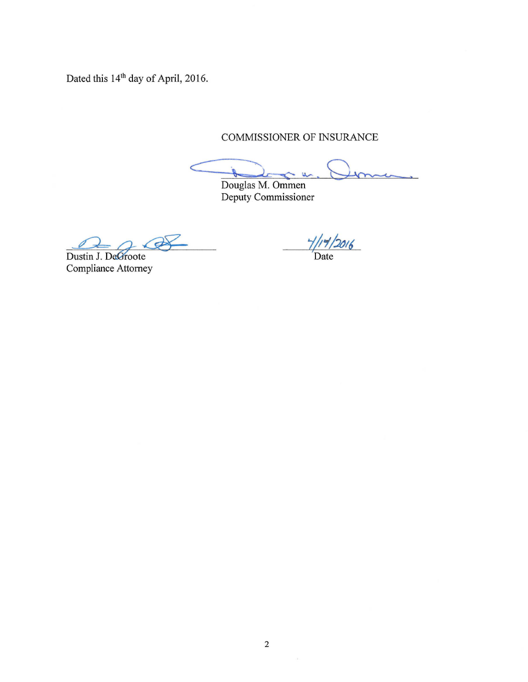Dated this 14<sup>th</sup> day of April, 2016.

COMMISSIONER OF INSURANCE

 $\hat{\mathbb{Z}}$  $\alpha$ 

Douglas M. Ommen Deputy Commissioner

 $\sigma$ 

Dustin J. DeGroote Compliance Attorney

 $\frac{1}{1}$ /14/2016